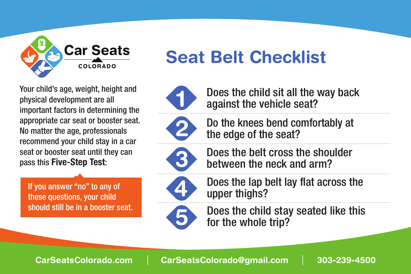

## abdi dedus in determining the approximation of the approximation of the approximation of the approximation of **Portal Seat Seat Belt Checklist**

Your child's age, weight, height and<br>physical development are all appropriate car seat or booster seat. recommend your child stay in a car recommend your child stay in a car<br>seat or booster seat until they can pass this **Five-Step Test**: important factors in determining the No matter the age, professionals physical development are all

child stay in a car seat or booster or booster If you answer "no" to any of  $\overline{\phantom{a}}$ should still be in a booster seat. these questions, your child should show the should show the showled showled showled showled showled showled showled

between the neck and arm?





**1**

car seat or booster seat. Do the knees bend comfortably at Can the child stay seated like this  $\bullet$  the edge of the seat?



**Exercise the belt cross the shoulder** between the neck and arm? between the neck and arm? Does the belt cross the shoulder CarSeatsColorado.com



Is the lap belt as low as possible, Does the lap belt lay flat across the 303-239-4500 upper thighs?



Can a Doop the child  $\sqrt{5}$  Does the child stay seated like this for the whole trip?

**CarSeatsColorado.com CarSeatsColorado.com CarSeatsColorado.com CarSeatsColorado@gmail.com 303-239-4500**